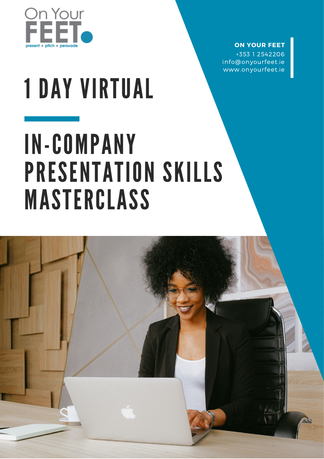

### **ON YOUR FEET**

+353 1 2542206 info@onyourfeet.ie www.onyourfeet.ie

# 1 DAY VIRTUAL

# IN-COMPANY PRESENTATION SKILLS MASTERCLASS

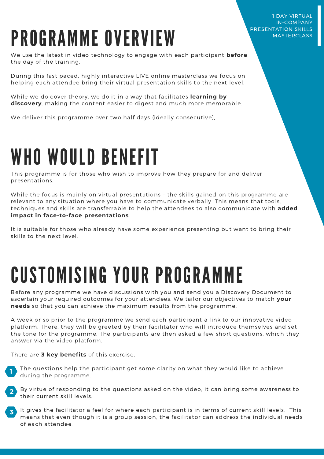# PROGRAMME OVERVIEW

We use the latest in video technology to engage with each participant **before** the day of the training.

During this fast paced, highly interactive LIVE online masterclass we focus on helping each attendee bring their virtual presentation skills to the next level.

While we do cover theory, we do it in a way that facilitates **learning by discovery**, making the content easier to digest and much more memorable.

We deliver this programme over two half days (ideally consecutive),

# WHO WOULD BENEFIT

This programme is for those who wish to improve how they prepare for and deliver presentations.

While the focus is mainly on virtual presentations – the skills gained on this programme are relevant to any situation where you have to communicate verbally. This means that tools, techniques and skills are transferrable to help the attendees to also communicate with **added impact in face-to-face presentations**.

It is suitable for those who already have some experience presenting but want to bring their skills to the next level.

# CUSTOMISING YOUR PROGRAMME

Before any programme we have discussions with you and send you a Discovery Document to ascertain your required outcomes for your attendees. We tailor our objectives to match **your needs** so that you can achieve the maximum results from the programme.

A week or so prior to the programme we send each participant a link to our innovative video platform. There, they will be greeted by their facilitator who will introduce themselves and set the tone for the programme. The participants are then asked a few short questions, which they answer via the video platform.

There are **3 key benefits** of this exercise.

- The questions help the participant get some clarity on what they would like to achieve during the programme. **1**
- By virtue of responding to the questions asked on the video, it can bring some awareness to their current skill levels. **2**
- It gives the facilitator a feel for where each participant is in terms of current skill levels. This means that even though it is a group session, the facilitator can address the individual needs of each attendee. **3**

1 DAY VIRTUAL IN-COMPANY PRESENTATION SKILLS MASTERCLASS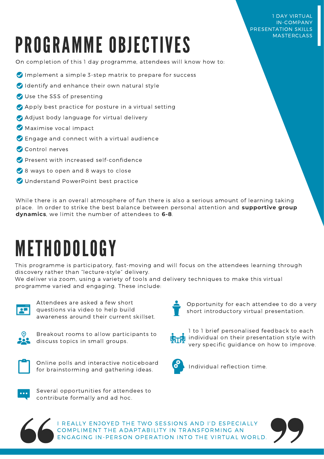#### 1 DAY VIRTUAL IN-COMPANY PRESENTATION SKILLS MASTERCLASS

# PROGRAMME OBJECTIVES

On completion of this 1 day programme, attendees will know how to:

- $\bullet$  Implement a simple 3-step matrix to prepare for success
- Identify and enhance their own natural style
- Use the SSS of presenting
- Apply best practice for posture in a virtual setting
- Adjust body language for virtual delivery
- Maximise vocal impact
- Engage and connect with a virtual audience
- Control nerves
- **Present with increased self-confidence**
- 8 ways to open and 8 ways to close
- O Understand PowerPoint best practice

While there is an overall atmosphere of fun there is also a serious amount of learning taking place. In order to strike the best balance between personal attention and **supportive group dynamics**, we limit the number of attendees to **6-8**.

### METHODOLOGY

This programme is participatory, fast-moving and will focus on the attendees learning through discovery rather than "lecture-style" delivery.

We deliver via zoom, using a variety of tools and delivery techniques to make this virtual programme varied and engaging. These include:



Attendees are asked a few short questions via video to help build awareness around their current skillset.



Breakout rooms to allow participants to discuss topics in small groups.



Online polls and interactive noticeboard for brainstorming and gathering ideas.



Several opportunities for attendees to contribute formally and ad hoc.



Opportunity for each attendee to do a very short introductory virtual presentation.



1 to 1 brief personalised feedback to each individual on their presentation style with very specific guidance on how to improve.



Individual reflection time.



I REALLY ENJOYED THE TWO SESSIONS AND I'D ESPECIALLY COMPLIMENT THE ADAPTABILITY IN TRANSFORMING AN ENGAGING IN-PERSON OPERATION INTO THE VIRTUAL WORLD.